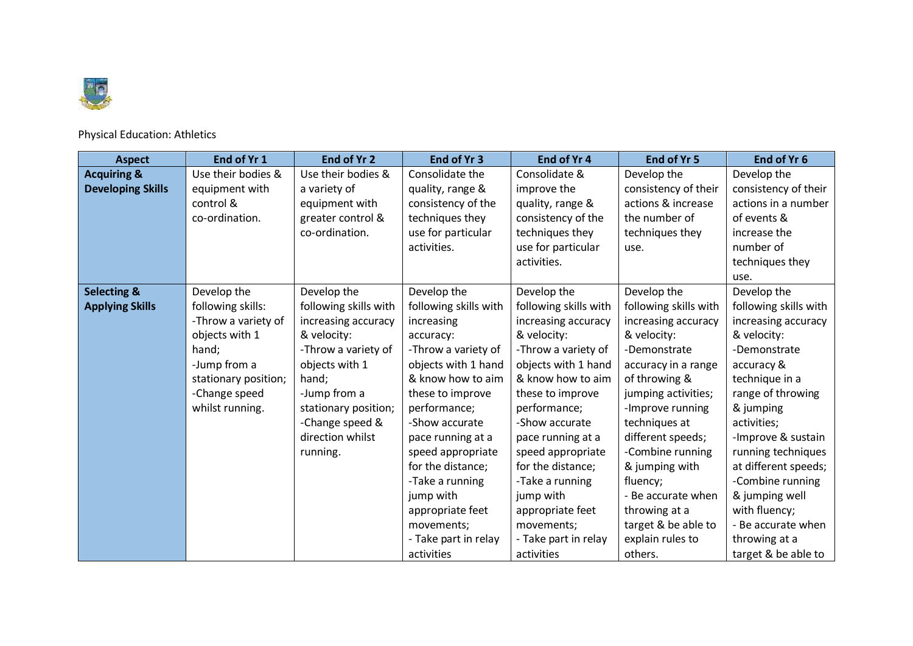

Physical Education: Athletics

| <b>Aspect</b>            | End of Yr 1          | End of Yr 2           | End of Yr 3           | End of Yr 4           | End of Yr 5           | End of Yr 6           |
|--------------------------|----------------------|-----------------------|-----------------------|-----------------------|-----------------------|-----------------------|
| <b>Acquiring &amp;</b>   | Use their bodies &   | Use their bodies &    | Consolidate the       | Consolidate &         | Develop the           | Develop the           |
| <b>Developing Skills</b> | equipment with       | a variety of          | quality, range &      | improve the           | consistency of their  | consistency of their  |
|                          | control &            | equipment with        | consistency of the    | quality, range &      | actions & increase    | actions in a number   |
|                          | co-ordination.       | greater control &     | techniques they       | consistency of the    | the number of         | of events &           |
|                          |                      | co-ordination.        | use for particular    | techniques they       | techniques they       | increase the          |
|                          |                      |                       | activities.           | use for particular    | use.                  | number of             |
|                          |                      |                       |                       | activities.           |                       | techniques they       |
|                          |                      |                       |                       |                       |                       | use.                  |
| <b>Selecting &amp;</b>   | Develop the          | Develop the           | Develop the           | Develop the           | Develop the           | Develop the           |
| <b>Applying Skills</b>   | following skills:    | following skills with | following skills with | following skills with | following skills with | following skills with |
|                          | -Throw a variety of  | increasing accuracy   | increasing            | increasing accuracy   | increasing accuracy   | increasing accuracy   |
|                          | objects with 1       | & velocity:           | accuracy:             | & velocity:           | & velocity:           | & velocity:           |
|                          | hand;                | -Throw a variety of   | -Throw a variety of   | -Throw a variety of   | -Demonstrate          | -Demonstrate          |
|                          | -Jump from a         | objects with 1        | objects with 1 hand   | objects with 1 hand   | accuracy in a range   | accuracy &            |
|                          | stationary position; | hand;                 | & know how to aim     | & know how to aim     | of throwing &         | technique in a        |
|                          | -Change speed        | -Jump from a          | these to improve      | these to improve      | jumping activities;   | range of throwing     |
|                          | whilst running.      | stationary position;  | performance;          | performance;          | -Improve running      | & jumping             |
|                          |                      | -Change speed &       | -Show accurate        | -Show accurate        | techniques at         | activities;           |
|                          |                      | direction whilst      | pace running at a     | pace running at a     | different speeds;     | -Improve & sustain    |
|                          |                      | running.              | speed appropriate     | speed appropriate     | -Combine running      | running techniques    |
|                          |                      |                       | for the distance;     | for the distance;     | & jumping with        | at different speeds;  |
|                          |                      |                       | -Take a running       | -Take a running       | fluency;              | -Combine running      |
|                          |                      |                       | jump with             | jump with             | - Be accurate when    | & jumping well        |
|                          |                      |                       | appropriate feet      | appropriate feet      | throwing at a         | with fluency;         |
|                          |                      |                       | movements;            | movements;            | target & be able to   | - Be accurate when    |
|                          |                      |                       | - Take part in relay  | - Take part in relay  | explain rules to      | throwing at a         |
|                          |                      |                       | activities            | activities            | others.               | target & be able to   |